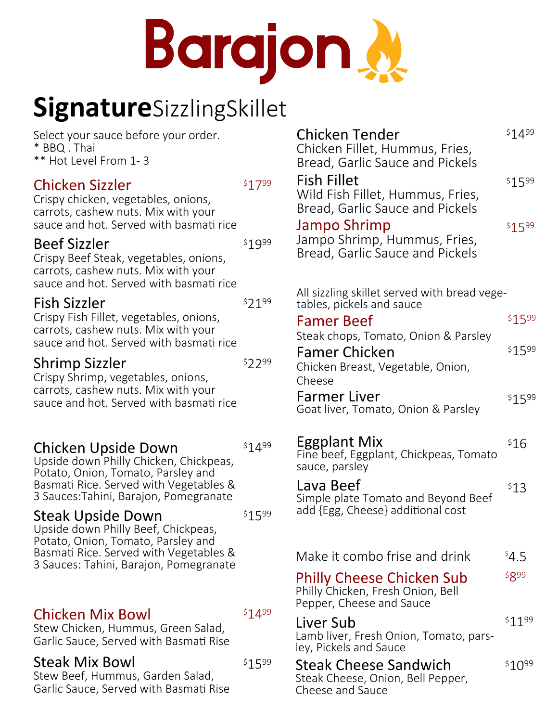# Barajon.

# **Signature**SizzlingSkillet

Select your sauce before your order. \* BBQ . Thai \*\* Hot Level From 1- 3

## Chicken Sizzler

\$1799

\$1999

Crispy chicken, vegetables, onions, carrots, cashew nuts. Mix with your sauce and hot. Served with basmati rice

# Beef Sizzler

Crispy Beef Steak, vegetables, onions, carrots, cashew nuts. Mix with your sauce and hot. Served with basmati rice

## \$2199 Fish Sizzler

Crispy Fish Fillet, vegetables, onions, carrots, cashew nuts. Mix with your sauce and hot. Served with basmati rice

## \$2299 Shrimp Sizzler

\$1499

\$1599

Crispy Shrimp, vegetables, onions, carrots, cashew nuts. Mix with your sauce and hot. Served with basmati rice

# Chicken Upside Down

Upside down Philly Chicken, Chickpeas, Potato, Onion, Tomato, Parsley and Basmati Rice. Served with Vegetables & 3 Sauces:Tahini, Barajon, Pomegranate

## Steak Upside Down

Upside down Philly Beef, Chickpeas, Potato, Onion, Tomato, Parsley and Basmati Rice. Served with Vegetables & 3 Sauces: Tahini, Barajon, Pomegranate

# Chicken Mix Bowl

\$1499

\$1599

Stew Chicken, Hummus, Green Salad, Garlic Sauce, Served with Basmati Rise

## Steak Mix Bowl

Stew Beef, Hummus, Garden Salad, Garlic Sauce, Served with Basmati Rise

| <b>Chicken Tender</b><br>Chicken Fillet, Hummus, Fries,                                                                      | \$1499 |  |
|------------------------------------------------------------------------------------------------------------------------------|--------|--|
| Bread, Garlic Sauce and Pickels<br><b>Fish Fillet</b><br>Wild Fish Fillet, Hummus, Fries,<br>Bread, Garlic Sauce and Pickels | \$1599 |  |
| Jampo Shrimp<br>Jampo Shrimp, Hummus, Fries,<br>Bread, Garlic Sauce and Pickels                                              | \$1599 |  |
| All sizzling skillet served with bread vege-                                                                                 |        |  |
| tables, pickels and sauce<br><b>Famer Beef</b>                                                                               | \$1599 |  |
| Steak chops, Tomato, Onion & Parsley<br><b>Famer Chicken</b><br>Chicken Breast, Vegetable, Onion,                            | \$1599 |  |
| Cheese<br>Farmer Liver<br>Goat liver, Tomato, Onion & Parsley                                                                | \$1599 |  |
| Eggplant Mix<br>Fine beef, Eggplant, Chickpeas, Tomato<br>sauce, parsley                                                     | \$16   |  |
| Lava Beef<br>Simple plate Tomato and Beyond Beef<br>add {Egg, Cheese} additional cost                                        | \$13   |  |
|                                                                                                                              |        |  |
| Make it combo frise and drink                                                                                                | 54.5   |  |
| <b>Philly Cheese Chicken Sub</b><br>Philly Chicken, Fresh Onion, Bell<br>Pepper, Cheese and Sauce                            | \$899  |  |
| Liver Sub<br>Lamb liver, Fresh Onion, Tomato, pars-<br>ley, Pickels and Sauce                                                | \$1199 |  |
| <b>Steak Cheese Sandwich</b><br>Steak Cheese, Onion, Bell Pepper,<br>Cheese and Sauce                                        | \$1099 |  |